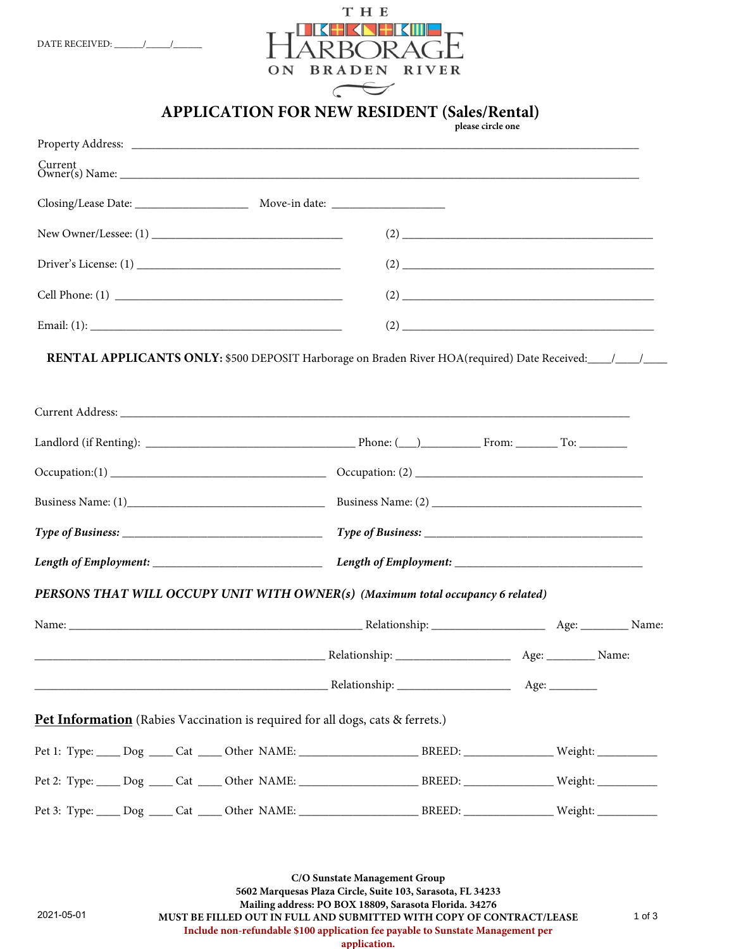

**APPLICATION FOR NEW RESIDENT (Sales/Rental)**

|                                                                                                                                                                                                                               | please circle one |                                                                                                                                                                                                                                                                                                                                                                                     |
|-------------------------------------------------------------------------------------------------------------------------------------------------------------------------------------------------------------------------------|-------------------|-------------------------------------------------------------------------------------------------------------------------------------------------------------------------------------------------------------------------------------------------------------------------------------------------------------------------------------------------------------------------------------|
|                                                                                                                                                                                                                               |                   |                                                                                                                                                                                                                                                                                                                                                                                     |
|                                                                                                                                                                                                                               |                   |                                                                                                                                                                                                                                                                                                                                                                                     |
|                                                                                                                                                                                                                               |                   |                                                                                                                                                                                                                                                                                                                                                                                     |
|                                                                                                                                                                                                                               |                   |                                                                                                                                                                                                                                                                                                                                                                                     |
|                                                                                                                                                                                                                               |                   | $(2) \begin{tabular}{@{}c@{}} \hline \rule{0.2cm}{0.2cm} \rule{0.2cm}{0.2cm} \rule{0.2cm}{0.2cm} \rule{0.2cm}{0.2cm} \rule{0.2cm}{0.2cm} \rule{0.2cm}{0.2cm} \rule{0.2cm}{0.2cm} \rule{0.2cm}{0.2cm} \rule{0.2cm}{0.2cm} \rule{0.2cm}{0.2cm} \rule{0.2cm}{0.2cm} \rule{0.2cm}{0.2cm} \rule{0.2cm}{0.2cm} \rule{0.2cm}{0.2cm} \rule{0.2cm}{0.2cm} \rule{0.2cm$                       |
|                                                                                                                                                                                                                               |                   |                                                                                                                                                                                                                                                                                                                                                                                     |
|                                                                                                                                                                                                                               |                   | $(2) \begin{tabular}{@{}c@{}} \hline \rule[1cm]{1cm}{0.4cm} \rule[1cm]{1cm}{0.4cm} \rule[1cm]{1cm}{0.4cm} \rule[1cm]{1cm}{0.4cm} \rule[1cm]{1cm}{0.4cm} \rule[1cm]{1cm}{0.4cm} \rule[1cm]{1cm}{0.4cm} \rule[1cm]{1cm}{0.4cm} \rule[1cm]{1cm}{0.4cm} \rule[1cm]{1cm}{0.4cm} \rule[1cm]{1cm}{0.4cm} \rule[1cm]{1cm}{0.4cm} \rule[1cm]{1cm}{0.4cm} \rule[1cm]{1cm}{0.4cm} \rule[1cm]{$ |
|                                                                                                                                                                                                                               |                   |                                                                                                                                                                                                                                                                                                                                                                                     |
|                                                                                                                                                                                                                               |                   |                                                                                                                                                                                                                                                                                                                                                                                     |
|                                                                                                                                                                                                                               |                   |                                                                                                                                                                                                                                                                                                                                                                                     |
|                                                                                                                                                                                                                               |                   |                                                                                                                                                                                                                                                                                                                                                                                     |
|                                                                                                                                                                                                                               |                   |                                                                                                                                                                                                                                                                                                                                                                                     |
|                                                                                                                                                                                                                               |                   |                                                                                                                                                                                                                                                                                                                                                                                     |
|                                                                                                                                                                                                                               |                   |                                                                                                                                                                                                                                                                                                                                                                                     |
|                                                                                                                                                                                                                               |                   |                                                                                                                                                                                                                                                                                                                                                                                     |
| PERSONS THAT WILL OCCUPY UNIT WITH OWNER(s) (Maximum total occupancy 6 related)                                                                                                                                               |                   |                                                                                                                                                                                                                                                                                                                                                                                     |
| Name: Name: Name: Name: Name: Name: Name: Name: Name: Name: Name: Name: Name: Name: Name: Name: Name: Name: Name: Name: Name: Name: Name: Name: Name: Name: Name: Name: Name: Name: Name: Name: Name: Name: Name: Name: Name: |                   |                                                                                                                                                                                                                                                                                                                                                                                     |
|                                                                                                                                                                                                                               |                   |                                                                                                                                                                                                                                                                                                                                                                                     |
|                                                                                                                                                                                                                               |                   |                                                                                                                                                                                                                                                                                                                                                                                     |
| Pet Information (Rabies Vaccination is required for all dogs, cats & ferrets.)                                                                                                                                                |                   |                                                                                                                                                                                                                                                                                                                                                                                     |
|                                                                                                                                                                                                                               |                   |                                                                                                                                                                                                                                                                                                                                                                                     |
|                                                                                                                                                                                                                               |                   |                                                                                                                                                                                                                                                                                                                                                                                     |
|                                                                                                                                                                                                                               |                   |                                                                                                                                                                                                                                                                                                                                                                                     |
|                                                                                                                                                                                                                               |                   |                                                                                                                                                                                                                                                                                                                                                                                     |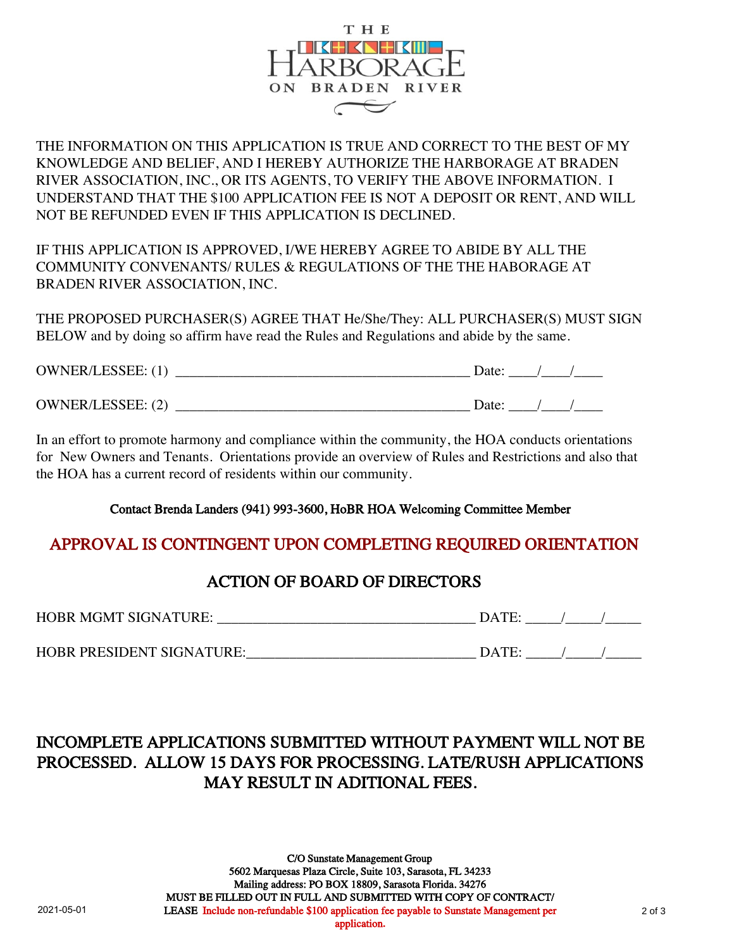

THE INFORMATION ON THIS APPLICATION IS TRUE AND CORRECT TO THE BEST OF MY KNOWLEDGE AND BELIEF, AND I HEREBY AUTHORIZE THE HARBORAGE AT BRADEN RIVER ASSOCIATION, INC., OR ITS AGENTS, TO VERIFY THE ABOVE INFORMATION. I UNDERSTAND THAT THE \$100 APPLICATION FEE IS NOT A DEPOSIT OR RENT, AND WILL NOT BE REFUNDED EVEN IF THIS APPLICATION IS DECLINED.

IF THIS APPLICATION IS APPROVED, I/WE HEREBY AGREE TO ABIDE BY ALL THE COMMUNITY CONVENANTS/ RULES & REGULATIONS OF THE THE HABORAGE AT BRADEN RIVER ASSOCIATION, INC.

THE PROPOSED PURCHASER(S) AGREE THAT He/She/They: ALL PURCHASER(S) MUST SIGN BELOW and by doing so affirm have read the Rules and Regulations and abide by the same.

| <b>OWNER/LESSEE: (1)</b> | Jate: |
|--------------------------|-------|
| <b>OWNER/LESSEE: (2)</b> | )ate: |

In an effort to promote harmony and compliance within the community, the HOA conducts orientations for New Owners and Tenants. Orientations provide an overview of Rules and Restrictions and also that the HOA has a current record of residents within our community.

Contact Brenda Landers (941) 993-3600, HoBR HOA Welcoming Committee Member

#### APPROVAL IS CONTINGENT UPON COMPLETING REQUIRED ORIENTATION

### ACTION OF BOARD OF DIRECTORS

| <b>HOBR MGMT SIGNATURE:</b> |
|-----------------------------|
|                             |

| HOBR PRESIDENT SIGNATURE: |  |
|---------------------------|--|
|---------------------------|--|

## INCOMPLETE APPLICATIONS SUBMITTED WITHOUT PAYMENT WILL NOT BE PROCESSED. ALLOW 15 DAYS FOR PROCESSING. LATE/RUSH APPLICATIONS MAY RESULT IN ADITIONAL FEES.